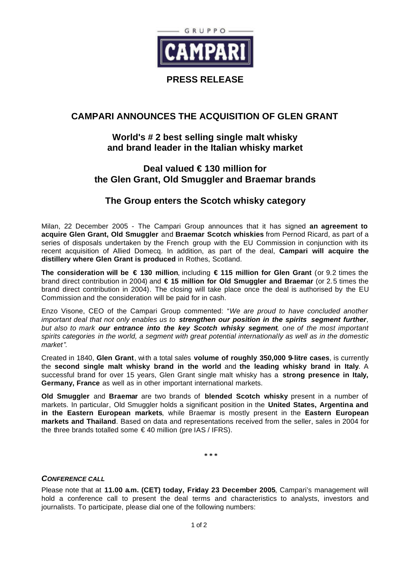

#### **PRESS RELEASE**

# **CAMPARI ANNOUNCES THE ACQUISITION OF GLEN GRANT**

## **World's # 2 best selling single malt whisky and brand leader in the Italian whisky market**

## **Deal valued € 130 million for the Glen Grant, Old Smuggler and Braemar brands**

### **The Group enters the Scotch whisky category**

Milan, 22 December 2005 - The Campari Group announces that it has signed **an agreement to acquire Glen Grant, Old Smuggler** and **Braemar Scotch whiskies** from Pernod Ricard, as part of a series of disposals undertaken by the French group with the EU Commission in conjunction with its recent acquisition of Allied Domecq. In addition, as part of the deal, **Campari will acquire the distillery where Glen Grant is produced** in Rothes, Scotland.

**The consideration will be € 130 million**, including **€ 115 million for Glen Grant** (or 9.2 times the brand direct contribution in 2004) and **€ 15 million for Old Smuggler and Braemar** (or 2.5 times the brand direct contribution in 2004). The closing will take place once the deal is authorised by the EU Commission and the consideration will be paid for in cash.

Enzo Visone, CEO of the Campari Group commented: "*We are proud to have concluded another important deal that not only enables us to strengthen our position in the spirits segment further, but also to mark our entrance into the key Scotch whisky segment, one of the most important spirits categories in the world, a segment with great potential internationally as well as in the domestic market".*

Created in 1840, **Glen Grant**, with a total sales **volume of roughly 350,000 9-litre cases**, is currently the **second single malt whisky brand in the world** and **the leading whisky brand in Italy**. A successful brand for over 15 years, Glen Grant single malt whisky has a **strong presence in Italy, Germany, France** as well as in other important international markets.

**Old Smuggler** and **Braemar** are two brands of **blended Scotch whisky** present in a number of markets. In particular, Old Smuggler holds a significant position in the **United States, Argentina and in the Eastern European markets**, while Braemar is mostly present in the **Eastern European markets and Thailand**. Based on data and representations received from the seller, sales in 2004 for the three brands totalled some  $\in$  40 million (pre IAS / IFRS).

**\* \* \***

#### *CONFERENCE CALL*

Please note that at **11.00 a.m. (CET) today, Friday 23 December 2005**, Campari's management will hold a conference call to present the deal terms and characteristics to analysts, investors and journalists. To participate, please dial one of the following numbers: